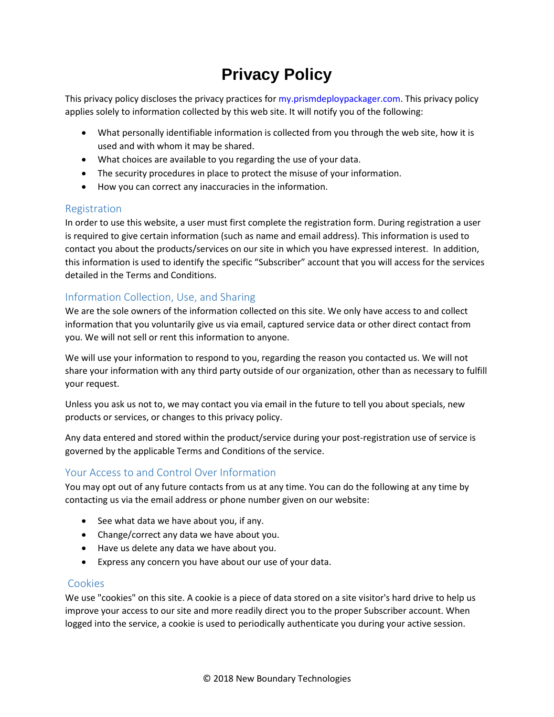# **Privacy Policy**

This privacy policy discloses the privacy practices for [my.prismdeploypackager.com.](https://my.prismdeploypackager.com/) This privacy policy applies solely to information collected by this web site. It will notify you of the following:

- What personally identifiable information is collected from you through the web site, how it is used and with whom it may be shared.
- What choices are available to you regarding the use of your data.
- The security procedures in place to protect the misuse of your information.
- How you can correct any inaccuracies in the information.

### Registration

In order to use this website, a user must first complete the registration form. During registration a user is required to give certain information (such as name and email address). This information is used to contact you about the products/services on our site in which you have expressed interest. In addition, this information is used to identify the specific "Subscriber" account that you will access for the services detailed in the Terms and Conditions.

# Information Collection, Use, and Sharing

We are the sole owners of the information collected on this site. We only have access to and collect information that you voluntarily give us via email, captured service data or other direct contact from you. We will not sell or rent this information to anyone.

We will use your information to respond to you, regarding the reason you contacted us. We will not share your information with any third party outside of our organization, other than as necessary to fulfill your request.

Unless you ask us not to, we may contact you via email in the future to tell you about specials, new products or services, or changes to this privacy policy.

Any data entered and stored within the product/service during your post-registration use of service is governed by the applicable Terms and Conditions of the service.

# Your Access to and Control Over Information

You may opt out of any future contacts from us at any time. You can do the following at any time by contacting us via the email address or phone number given on our website:

- See what data we have about you, if any.
- Change/correct any data we have about you.
- Have us delete any data we have about you.
- Express any concern you have about our use of your data.

## Cookies

We use "cookies" on this site. A cookie is a piece of data stored on a site visitor's hard drive to help us improve your access to our site and more readily direct you to the proper Subscriber account. When logged into the service, a cookie is used to periodically authenticate you during your active session.